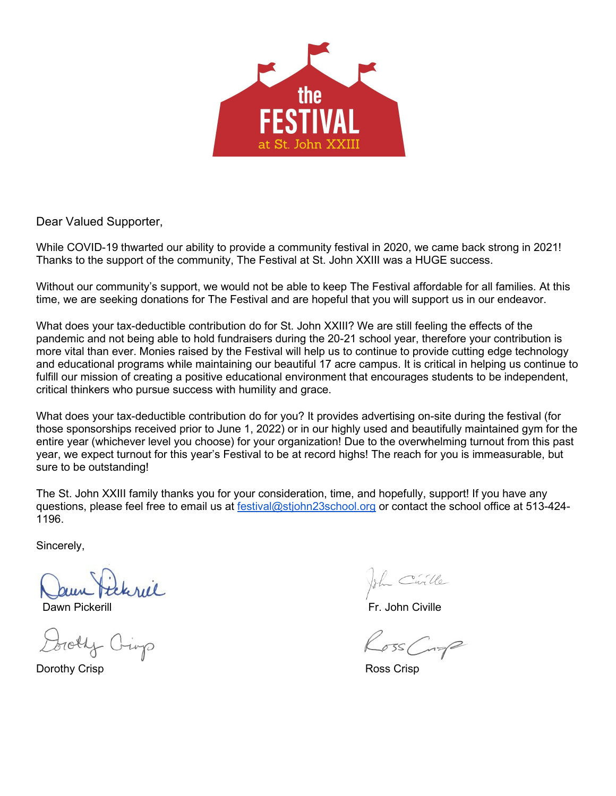

Dear Valued Supporter,

While COVID-19 thwarted our ability to provide a community festival in 2020, we came back strong in 2021! Thanks to the support of the community, The Festival at St. John XXIII was a HUGE success.

Without our community's support, we would not be able to keep The Festival affordable for all families. At this time, we are seeking donations for The Festival and are hopeful that you will support us in our endeavor.

What does your tax-deductible contribution do for St. John XXIII? We are still feeling the effects of the pandemic and not being able to hold fundraisers during the 20-21 school year, therefore your contribution is more vital than ever. Monies raised by the Festival will help us to continue to provide cutting edge technology and educational programs while maintaining our beautiful 17 acre campus. It is critical in helping us continue to fulfill our mission of creating a positive educational environment that encourages students to be independent, critical thinkers who pursue success with humility and grace.

What does your tax-deductible contribution do for you? It provides advertising on-site during the festival (for those sponsorships received prior to June 1, 2022) or in our highly used and beautifully maintained gym for the entire year (whichever level you choose) for your organization! Due to the overwhelming turnout from this past year, we expect turnout for this year's Festival to be at record highs! The reach for you is immeasurable, but sure to be outstanding!

The St. John XXIII family thanks you for your consideration, time, and hopefully, support! If you have any questions, please feel free to email us at [festival@stjohn23school.org](mailto:festival@stjohn23school.org) or contact the school office at 513-424-1196.

Sincerely,

Daum Pickerill<br>Dawn Pickerill Fr. John Civille<br>Dorothy Oinp

Dorothy Crisp Ross Crisp

John Civille